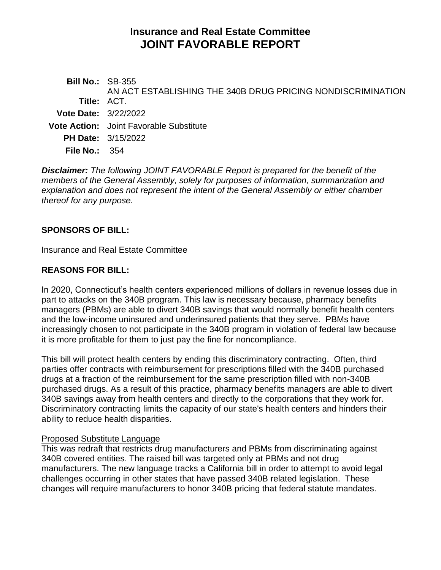# **Insurance and Real Estate Committee JOINT FAVORABLE REPORT**

| <b>Bill No.: SB-355</b>     |                                                             |
|-----------------------------|-------------------------------------------------------------|
|                             | AN ACT ESTABLISHING THE 340B DRUG PRICING NONDISCRIMINATION |
| Title: ACT.                 |                                                             |
| <b>Vote Date: 3/22/2022</b> |                                                             |
|                             | <b>Vote Action:</b> Joint Favorable Substitute              |
|                             | <b>PH Date: 3/15/2022</b>                                   |
| File No.: $354$             |                                                             |
|                             |                                                             |

*Disclaimer: The following JOINT FAVORABLE Report is prepared for the benefit of the members of the General Assembly, solely for purposes of information, summarization and explanation and does not represent the intent of the General Assembly or either chamber thereof for any purpose.*

### **SPONSORS OF BILL:**

Insurance and Real Estate Committee

### **REASONS FOR BILL:**

In 2020, Connecticut's health centers experienced millions of dollars in revenue losses due in part to attacks on the 340B program. This law is necessary because, pharmacy benefits managers (PBMs) are able to divert 340B savings that would normally benefit health centers and the low-income uninsured and underinsured patients that they serve. PBMs have increasingly chosen to not participate in the 340B program in violation of federal law because it is more profitable for them to just pay the fine for noncompliance.

This bill will protect health centers by ending this discriminatory contracting. Often, third parties offer contracts with reimbursement for prescriptions filled with the 340B purchased drugs at a fraction of the reimbursement for the same prescription filled with non-340B purchased drugs. As a result of this practice, pharmacy benefits managers are able to divert 340B savings away from health centers and directly to the corporations that they work for. Discriminatory contracting limits the capacity of our state's health centers and hinders their ability to reduce health disparities.

#### Proposed Substitute Language

This was redraft that restricts drug manufacturers and PBMs from discriminating against 340B covered entities. The raised bill was targeted only at PBMs and not drug manufacturers. The new language tracks a California bill in order to attempt to avoid legal challenges occurring in other states that have passed 340B related legislation. These changes will require manufacturers to honor 340B pricing that federal statute mandates.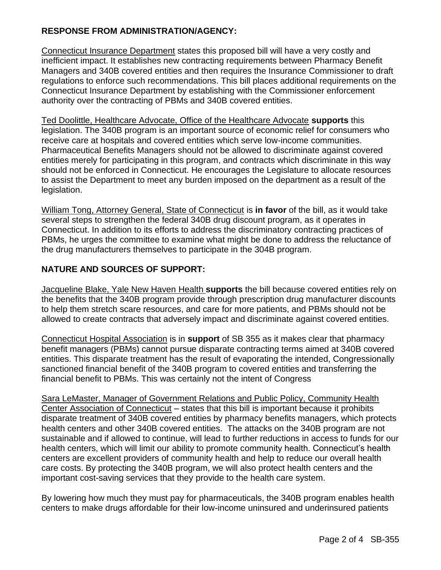# **RESPONSE FROM ADMINISTRATION/AGENCY:**

Connecticut Insurance Department states this proposed bill will have a very costly and inefficient impact. It establishes new contracting requirements between Pharmacy Benefit Managers and 340B covered entities and then requires the Insurance Commissioner to draft regulations to enforce such recommendations. This bill places additional requirements on the Connecticut Insurance Department by establishing with the Commissioner enforcement authority over the contracting of PBMs and 340B covered entities.

Ted Doolittle, Healthcare Advocate, Office of the Healthcare Advocate **supports** this legislation. The 340B program is an important source of economic relief for consumers who receive care at hospitals and covered entities which serve low-income communities. Pharmaceutical Benefits Managers should not be allowed to discriminate against covered entities merely for participating in this program, and contracts which discriminate in this way should not be enforced in Connecticut. He encourages the Legislature to allocate resources to assist the Department to meet any burden imposed on the department as a result of the legislation.

William Tong, Attorney General, State of Connecticut is **in favor** of the bill, as it would take several steps to strengthen the federal 340B drug discount program, as it operates in Connecticut. In addition to its efforts to address the discriminatory contracting practices of PBMs, he urges the committee to examine what might be done to address the reluctance of the drug manufacturers themselves to participate in the 304B program.

# **NATURE AND SOURCES OF SUPPORT:**

Jacqueline Blake, Yale New Haven Health **supports** the bill because covered entities rely on the benefits that the 340B program provide through prescription drug manufacturer discounts to help them stretch scare resources, and care for more patients, and PBMs should not be allowed to create contracts that adversely impact and discriminate against covered entities.

Connecticut Hospital Association is in **support** of SB 355 as it makes clear that pharmacy benefit managers (PBMs) cannot pursue disparate contracting terms aimed at 340B covered entities. This disparate treatment has the result of evaporating the intended, Congressionally sanctioned financial benefit of the 340B program to covered entities and transferring the financial benefit to PBMs. This was certainly not the intent of Congress

Sara LeMaster, Manager of Government Relations and Public Policy, Community Health Center Association of Connecticut – states that this bill is important because it prohibits disparate treatment of 340B covered entities by pharmacy benefits managers, which protects health centers and other 340B covered entities. The attacks on the 340B program are not sustainable and if allowed to continue, will lead to further reductions in access to funds for our health centers, which will limit our ability to promote community health. Connecticut's health centers are excellent providers of community health and help to reduce our overall health care costs. By protecting the 340B program, we will also protect health centers and the important cost-saving services that they provide to the health care system.

By lowering how much they must pay for pharmaceuticals, the 340B program enables health centers to make drugs affordable for their low-income uninsured and underinsured patients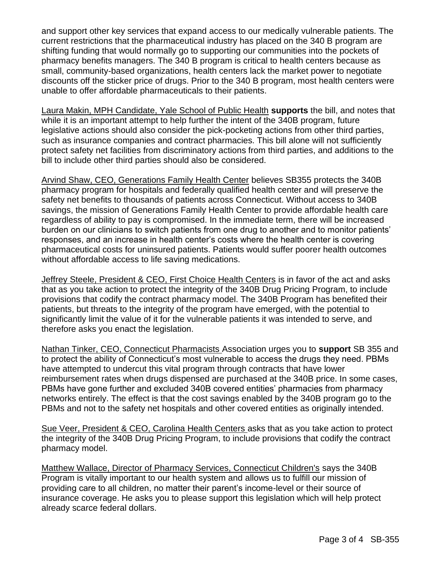and support other key services that expand access to our medically vulnerable patients. The current restrictions that the pharmaceutical industry has placed on the 340 B program are shifting funding that would normally go to supporting our communities into the pockets of pharmacy benefits managers. The 340 B program is critical to health centers because as small, community-based organizations, health centers lack the market power to negotiate discounts off the sticker price of drugs. Prior to the 340 B program, most health centers were unable to offer affordable pharmaceuticals to their patients.

Laura Makin, MPH Candidate, Yale School of Public Health **supports** the bill, and notes that while it is an important attempt to help further the intent of the 340B program, future legislative actions should also consider the pick-pocketing actions from other third parties, such as insurance companies and contract pharmacies. This bill alone will not sufficiently protect safety net facilities from discriminatory actions from third parties, and additions to the bill to include other third parties should also be considered.

Arvind Shaw, CEO, Generations Family Health Center believes SB355 protects the 340B pharmacy program for hospitals and federally qualified health center and will preserve the safety net benefits to thousands of patients across Connecticut. Without access to 340B savings, the mission of Generations Family Health Center to provide affordable health care regardless of ability to pay is compromised. In the immediate term, there will be increased burden on our clinicians to switch patients from one drug to another and to monitor patients' responses, and an increase in health center's costs where the health center is covering pharmaceutical costs for uninsured patients. Patients would suffer poorer health outcomes without affordable access to life saving medications.

Jeffrey Steele, President & CEO, First Choice Health Centers is in favor of the act and asks that as you take action to protect the integrity of the 340B Drug Pricing Program, to include provisions that codify the contract pharmacy model. The 340B Program has benefited their patients, but threats to the integrity of the program have emerged, with the potential to significantly limit the value of it for the vulnerable patients it was intended to serve, and therefore asks you enact the legislation.

Nathan Tinker, CEO, Connecticut Pharmacists Association urges you to **support** SB 355 and to protect the ability of Connecticut's most vulnerable to access the drugs they need. PBMs have attempted to undercut this vital program through contracts that have lower reimbursement rates when drugs dispensed are purchased at the 340B price. In some cases, PBMs have gone further and excluded 340B covered entities' pharmacies from pharmacy networks entirely. The effect is that the cost savings enabled by the 340B program go to the PBMs and not to the safety net hospitals and other covered entities as originally intended.

Sue Veer, President & CEO, Carolina Health Centers asks that as you take action to protect the integrity of the 340B Drug Pricing Program, to include provisions that codify the contract pharmacy model.

Matthew Wallace, Director of Pharmacy Services, Connecticut Children's says the 340B Program is vitally important to our health system and allows us to fulfill our mission of providing care to all children, no matter their parent's income-level or their source of insurance coverage. He asks you to please support this legislation which will help protect already scarce federal dollars.